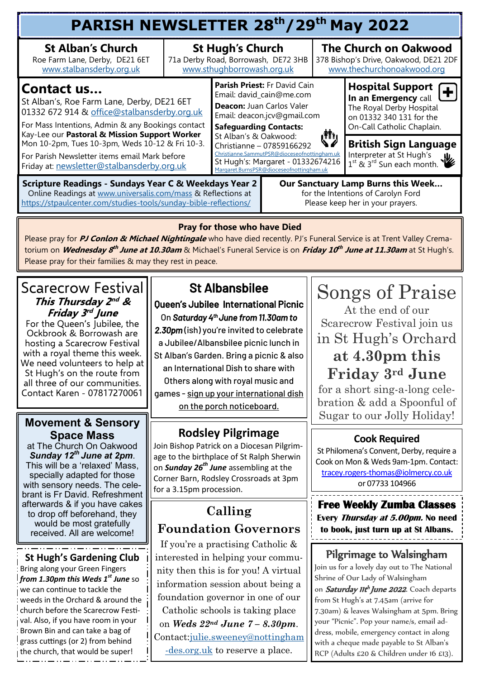| PARISH NEWSLETTER 28 <sup>th</sup> /29 <sup>th</sup> May 2022                                                                                                                                                                                                                                                                                                          |                                                                                              |                                                                                                                                                                                                                                                                                                                                              |  |                                                                                                     |                                                                                                                                             |  |  |  |  |
|------------------------------------------------------------------------------------------------------------------------------------------------------------------------------------------------------------------------------------------------------------------------------------------------------------------------------------------------------------------------|----------------------------------------------------------------------------------------------|----------------------------------------------------------------------------------------------------------------------------------------------------------------------------------------------------------------------------------------------------------------------------------------------------------------------------------------------|--|-----------------------------------------------------------------------------------------------------|---------------------------------------------------------------------------------------------------------------------------------------------|--|--|--|--|
| <b>St Alban's Church</b><br>Roe Farm Lane, Derby, DE21 6ET<br>www.stalbansderby.org.uk                                                                                                                                                                                                                                                                                 | <b>St Hugh's Church</b><br>71a Derby Road, Borrowash, DE72 3HB<br>www.sthughborrowash.org.uk |                                                                                                                                                                                                                                                                                                                                              |  | <b>The Church on Oakwood</b><br>378 Bishop's Drive, Oakwood, DE21 2DF<br>www.thechurchonoakwood.org |                                                                                                                                             |  |  |  |  |
| <b>Contact us</b><br>St Alban's, Roe Farm Lane, Derby, DE21 6ET<br>01332 672 914 & office@stalbansderby.org.uk<br>For Mass Intentions, Admin & any Bookings contact<br>Kay-Lee our Pastoral & Mission Support Worker<br>Mon 10-2pm, Tues 10-3pm, Weds 10-12 & Fri 10-3.<br>For Parish Newsletter items email Mark before<br>Friday at: newsletter@stalbansderby.org.uk |                                                                                              | Parish Priest: Fr David Cain<br>Email: david_cain@me.com<br>Deacon: Juan Carlos Valer<br>Email: deacon.jcv@gmail.com<br><b>Safeguarding Contacts:</b><br>St Alban's & Oakwood:<br>Christianne - 07859166292<br>Christianne.SammutPSR@dioceseofnottingham.uk<br>St Hugh's: Margaret - 01332674216<br>Margaret.BurnsPSR@dioceseofnottingham.uk |  |                                                                                                     | Hospital Support $\leftarrow$<br>In an Emergency call<br>The Royal Derby Hospital<br>on 01332 340 131 for the<br>On-Call Catholic Chaplain. |  |  |  |  |
|                                                                                                                                                                                                                                                                                                                                                                        |                                                                                              |                                                                                                                                                                                                                                                                                                                                              |  | رژانی                                                                                               | <b>British Sign Language</b><br>Interpreter at St Hugh's<br>Ш.<br>1 <sup>st</sup> & 3 <sup>rd</sup> Sun each month.                         |  |  |  |  |
| <b>Scripture Readings - Sundays Year C &amp; Weekdays Year 2</b><br>Online Readings at www.universalis.com/mass & Reflections at<br>https://stpaulcenter.com/studies-tools/sunday-bible-reflections/                                                                                                                                                                   |                                                                                              | Our Sanctuary Lamp Burns this Week<br>for the Intentions of Carolyn Ford<br>Please keep her in your prayers.                                                                                                                                                                                                                                 |  |                                                                                                     |                                                                                                                                             |  |  |  |  |

#### **Pray for those who have Died**

Please pray for **PJ Conlon & Michael Nightingale** who have died recently. PJ's Funeral Service is at Trent Valley Crematorium on *Wednesday 8<sup>th</sup> June at 10.30am* & Michael's Funeral Service is on *Friday 10<sup>th</sup> June at 11.30am* at St Hugh's. Please pray for their families & may they rest in peace.

#### Scarecrow Festival **This Thursday 2 nd & Friday 3 rd June**

For the Queen's Jubilee, the Ockbrook & Borrowash are hosting a Scarecrow Festival with a royal theme this week. We need volunteers to help at St Hugh's on the route from all three of our communities. Contact Karen - 07817270061

#### **Movement & Sensory Space Mass**

at The Church On Oakwood *Sunday 12th June at 2pm*. This will be a 'relaxed' Mass, specially adapted for those with sensory needs. The celebrant is Fr David. Refreshment afterwards & if you have cakes to drop off beforehand, they would be most gratefully received. All are welcome!

## **St Hugh's Gardening Club**

Bring along your Green Fingers *from 1.30pm this Weds 1st June* so we can continue to tackle the weeds in the Orchard & around the church before the Scarecrow Festival. Also, if you have room in your Brown Bin and can take a bag of grass cuttings (or 2) from behind the church, that would be super!

## St Albansbilee

Queen's Jubilee International Picnic On *Saturday 4th June from 11.30am to* 

*2.30pm* (ish) you're invited to celebrate a Jubilee/Albansbilee picnic lunch in St Alban's Garden. Bring a picnic & also an International Dish to share with Others along with royal music and games - sign up your international dish on the porch noticeboard.

## **Rodsley Pilgrimage**

Join Bishop Patrick on a Diocesan Pilgrimage to the birthplace of St Ralph Sherwin on *Sunday 26th June* assembling at the Corner Barn, Rodsley Crossroads at 3pm for a 3.15pm procession.

## **Calling Foundation Governors**

If you're a practising Catholic & interested in helping your community then this is for you! A virtual information session about being a foundation governor in one of our Catholic schools is taking place on *Weds 22nd June 7 – 8.30pm*. Contact[:julie.sweeney@nottingham](mailto:julie.sweeney@nottingham-des.org.uk) [-des.org.uk](mailto:julie.sweeney@nottingham-des.org.uk) to reserve a place.

# Songs of Praise At the end of our Scarecrow Festival join us in St Hugh's Orchard **at 4.30pm this Friday 3rd June**

for a short sing-a-long celebration & add a Spoonful of Sugar to our Jolly Holiday!

### **Cook Required**

St Philomena's Convent, Derby, require a Cook on Mon & Weds 9am-1pm. Contact: tracey.rogers-[thomas@iolmercy.co.uk](mailto:tracey.rogers-thomas@iolmercy.co.uk)  or 07733 104966

**Free Weekly Zumba Classes Every Thursday at 5.00pm. No need to book, just turn up at St Albans.** 

## Pilgrimage to Walsingham

Join us for a lovely day out to The National Shrine of Our Lady of Walsingham on Saturday IIt<sup>h</sup> June 2022. Coach departs from St Hugh's at 7.45am (arrive for 7.30am) & leaves Walsingham at 5pm. Bring your "Picnic". Pop your name/s, email address, mobile, emergency contact in along with a cheque made payable to St Alban's RCP (Adults £20 & Children under 16 £13).